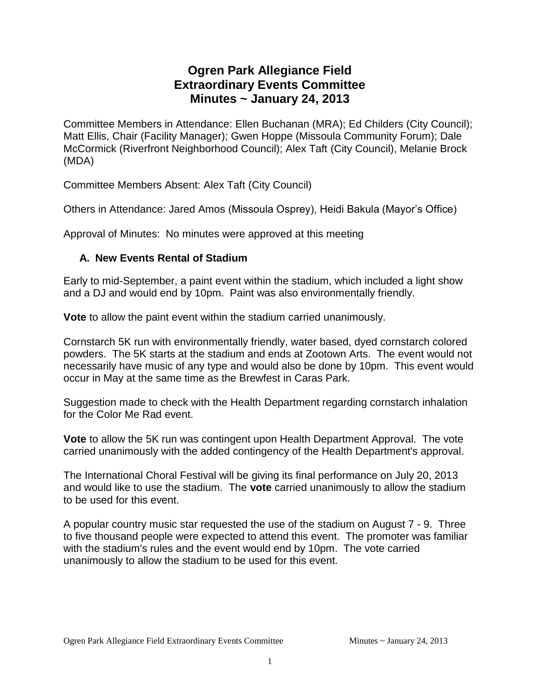# **Ogren Park Allegiance Field Extraordinary Events Committee Minutes ~ January 24, 2013**

Committee Members in Attendance: Ellen Buchanan (MRA); Ed Childers (City Council); Matt Ellis, Chair (Facility Manager); Gwen Hoppe (Missoula Community Forum); Dale McCormick (Riverfront Neighborhood Council); Alex Taft (City Council), Melanie Brock (MDA)

Committee Members Absent: Alex Taft (City Council)

Others in Attendance: Jared Amos (Missoula Osprey), Heidi Bakula (Mayor's Office)

Approval of Minutes: No minutes were approved at this meeting

### **A. New Events Rental of Stadium**

Early to mid-September, a paint event within the stadium, which included a light show and a DJ and would end by 10pm. Paint was also environmentally friendly.

**Vote** to allow the paint event within the stadium carried unanimously.

Cornstarch 5K run with environmentally friendly, water based, dyed cornstarch colored powders. The 5K starts at the stadium and ends at Zootown Arts. The event would not necessarily have music of any type and would also be done by 10pm. This event would occur in May at the same time as the Brewfest in Caras Park.

Suggestion made to check with the Health Department regarding cornstarch inhalation for the Color Me Rad event.

**Vote** to allow the 5K run was contingent upon Health Department Approval. The vote carried unanimously with the added contingency of the Health Department's approval.

The International Choral Festival will be giving its final performance on July 20, 2013 and would like to use the stadium. The **vote** carried unanimously to allow the stadium to be used for this event.

A popular country music star requested the use of the stadium on August 7 - 9. Three to five thousand people were expected to attend this event. The promoter was familiar with the stadium's rules and the event would end by 10pm. The vote carried unanimously to allow the stadium to be used for this event.